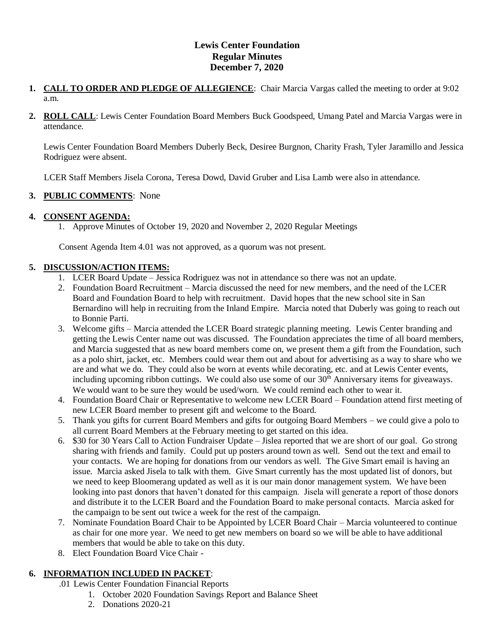# **Lewis Center Foundation Regular Minutes December 7, 2020**

- **1. CALL TO ORDER AND PLEDGE OF ALLEGIENCE**: Chair Marcia Vargas called the meeting to order at 9:02 a.m.
- **2. ROLL CALL**: Lewis Center Foundation Board Members Buck Goodspeed, Umang Patel and Marcia Vargas were in attendance.

Lewis Center Foundation Board Members Duberly Beck, Desiree Burgnon, Charity Frash, Tyler Jaramillo and Jessica Rodriguez were absent.

LCER Staff Members Jisela Corona, Teresa Dowd, David Gruber and Lisa Lamb were also in attendance.

## **3. PUBLIC COMMENTS**: None

## **4. CONSENT AGENDA:**

1. Approve Minutes of October 19, 2020 and November 2, 2020 Regular Meetings

Consent Agenda Item 4.01 was not approved, as a quorum was not present.

#### **5. DISCUSSION/ACTION ITEMS:**

- 1. LCER Board Update Jessica Rodriguez was not in attendance so there was not an update.
- 2. Foundation Board Recruitment Marcia discussed the need for new members, and the need of the LCER Board and Foundation Board to help with recruitment. David hopes that the new school site in San Bernardino will help in recruiting from the Inland Empire. Marcia noted that Duberly was going to reach out to Bonnie Parti.
- 3. Welcome gifts Marcia attended the LCER Board strategic planning meeting. Lewis Center branding and getting the Lewis Center name out was discussed. The Foundation appreciates the time of all board members, and Marcia suggested that as new board members come on, we present them a gift from the Foundation, such as a polo shirt, jacket, etc. Members could wear them out and about for advertising as a way to share who we are and what we do. They could also be worn at events while decorating, etc. and at Lewis Center events, including upcoming ribbon cuttings. We could also use some of our 30<sup>th</sup> Anniversary items for giveaways. We would want to be sure they would be used/worn. We could remind each other to wear it.
- 4. Foundation Board Chair or Representative to welcome new LCER Board Foundation attend first meeting of new LCER Board member to present gift and welcome to the Board.
- 5. Thank you gifts for current Board Members and gifts for outgoing Board Members we could give a polo to all current Board Members at the February meeting to get started on this idea.
- 6. \$30 for 30 Years Call to Action Fundraiser Update Jislea reported that we are short of our goal. Go strong sharing with friends and family. Could put up posters around town as well. Send out the text and email to your contacts. We are hoping for donations from our vendors as well. The Give Smart email is having an issue. Marcia asked Jisela to talk with them. Give Smart currently has the most updated list of donors, but we need to keep Bloomerang updated as well as it is our main donor management system. We have been looking into past donors that haven't donated for this campaign. Jisela will generate a report of those donors and distribute it to the LCER Board and the Foundation Board to make personal contacts. Marcia asked for the campaign to be sent out twice a week for the rest of the campaign.
- 7. Nominate Foundation Board Chair to be Appointed by LCER Board Chair Marcia volunteered to continue as chair for one more year. We need to get new members on board so we will be able to have additional members that would be able to take on this duty.
- 8. Elect Foundation Board Vice Chair -

## **6. INFORMATION INCLUDED IN PACKET**:

- .01 Lewis Center Foundation Financial Reports
	- 1. October 2020 Foundation Savings Report and Balance Sheet
	- 2. Donations 2020-21